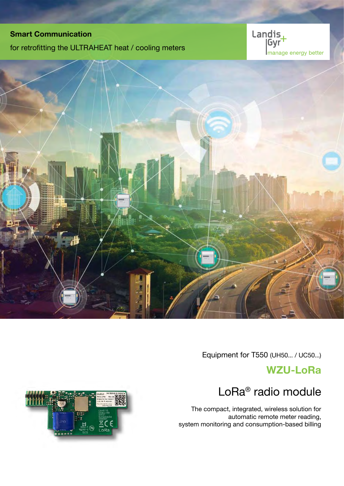## Smart Communication

for retrofitting the ULTRAHEAT heat / cooling meters





Equipment for T550 (UH50... / UC50...)

# WZU-LoRa



# LoRa® radio module

The compact, integrated, wireless solution for automatic remote meter reading, system monitoring and consumption-based billing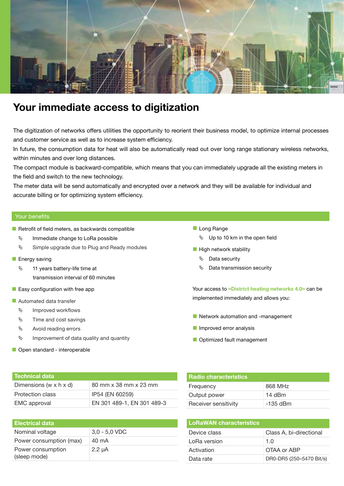

# Your immediate access to digitization

The digitization of networks offers utilities the opportunity to reorient their business model, to optimize internal processes and customer service as well as to increase system efficiency.

In future, the consumption data for heat will also be automatically read out over long range stationary wireless networks, within minutes and over long distances.

The compact module is backward-compatible, which means that you can immediately upgrade all the existing meters in the field and switch to the new technology.

The meter data will be send automatically and encrypted over a network and they will be available for individual and accurate billing or for optimizing system efficiency.

### Your benefits

- $\blacksquare$  Retrofit of field meters, as backwards compatible
	- $\%$  Immediate change to LoRa possible
	- $\%$  Simple upgrade due to Plug and Ready modules
- **Energy saving** 
	- $\%$  11 years battery-life time at transmission interval of 60 minutes
- $\blacksquare$  Easy configuration with free app
- **Automated data transfer** 
	- Ä Improved workflows
	- $\%$  Time and cost savings
	- $\upphi$  Avoid reading errors
	- $\%$  Improvement of data quality and quantity
- Open standard interoperable

Long Range

- $\%$  Up to 10 km in the open field
- $\blacksquare$  High network stability
	- Ä Data security
	- $\%$  Data transmission security

Your access to »District heating networks 4.0« can be implemented immediately and allows you:

- Network automation and -management
- **Improved error analysis**
- Optimized fault management

| l Technical data           |                            |
|----------------------------|----------------------------|
| Dimensions (w $x$ h $x$ d) | 80 mm x 38 mm x 23 mm      |
| Protection class           | IP54 (EN 60259)            |
| <b>EMC</b> approval        | EN 301 489-1, EN 301 489-3 |

### Electrical data

| Nominal voltage                   | $3,0 - 5,0$ VDC |
|-----------------------------------|-----------------|
| Power consumption (max)           | 40 mA           |
| Power consumption<br>(sleep mode) | $2.2 \mu A$     |

| <b>Radio characteristics</b> |            |
|------------------------------|------------|
| Frequency                    | 868 MHz    |
| Output power                 | 14 dBm     |
| Receiver sensitivity         | $-135$ dBm |
|                              |            |

| <b>LoRaWAN characteristics</b> |                          |
|--------------------------------|--------------------------|
| Device class                   | Class A, bi-directional  |
| LoRa version                   | 1 በ                      |
| Activation                     | OTAA or ABP              |
| Data rate                      | DR0-DR5 (250-5470 Bit/s) |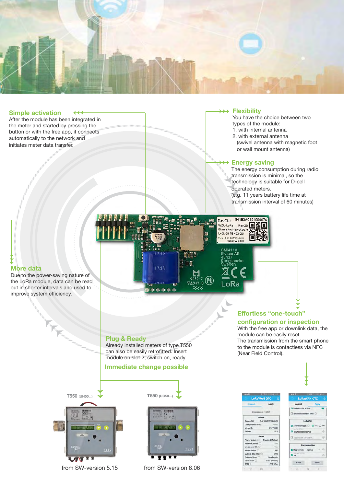

### Simple activation  $\overline{44}$

After the module has been integrated in the meter and started by pressing the button or with the free app, it connects automatically to the network and initiates meter data transfer.

### $\rightarrow$  Flexibility

You have the choice between two types of the module:

- 1. with internal antenna
- 2. with external antenna (swivel antenna with magnetic foot
- or wall mount antenna)

### Energy saving

The energy consumption during radio transmission is minimal, so the technology is suitable for D-cell operated meters. (e.g. 11 years battery life time at

transmission interval of 60 minutes)

Effortless "one-touch" configuration or inspection With the free app or downlink data, the

module can be easily reset.

(Near Field Control).

The transmission from the smart phone to the module is contactless via NFC



### **More data**

Due to the power-saving nature of the LoRa module, data can be read out in shorter intervals and used to improve system efficiency.

> Plug & Ready Already installed meters of type T550

can also be easily retrofitted. Insert module on slot 2, switch on, ready.

### Immediate change possible





from SW-version 5.15 from SW-version 8.06





# $-112d$